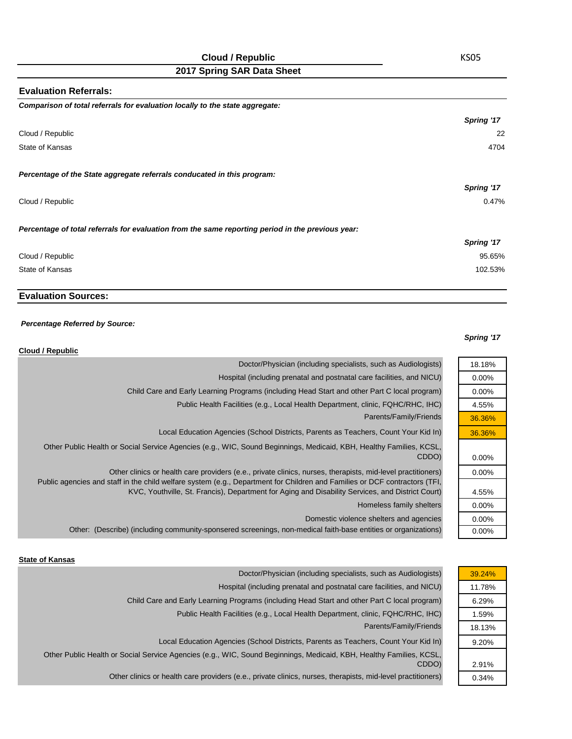# **Cloud / Republic**

**2017 Spring SAR Data Sheet**

| <b>Evaluation Referrals:</b>                                                                      |            |
|---------------------------------------------------------------------------------------------------|------------|
| Comparison of total referrals for evaluation locally to the state aggregate:                      |            |
|                                                                                                   | Spring '17 |
| Cloud / Republic                                                                                  | 22         |
| State of Kansas                                                                                   | 4704       |
| Percentage of the State aggregate referrals conducated in this program:                           |            |
|                                                                                                   | Spring '17 |
| Cloud / Republic                                                                                  | 0.47%      |
| Percentage of total referrals for evaluation from the same reporting period in the previous year: |            |
|                                                                                                   | Spring '17 |
| Cloud / Republic                                                                                  | 95.65%     |
| State of Kansas                                                                                   | 102.53%    |
|                                                                                                   |            |

## **Evaluation Sources:**

#### *Percentage Referred by Source:*

#### *Spring '17*

18.18% 0.00% 0.00% 4.55% 36.36% 36.36%

0.00% 0.00%

4.55% 0.00% 0.00% 0.00%

| Cloud / Republic                                                                                                                                                                                                                                                                                                                              |
|-----------------------------------------------------------------------------------------------------------------------------------------------------------------------------------------------------------------------------------------------------------------------------------------------------------------------------------------------|
| Doctor/Physician (including specialists, such as Audiologists)                                                                                                                                                                                                                                                                                |
| Hospital (including prenatal and postnatal care facilities, and NICU)                                                                                                                                                                                                                                                                         |
| Child Care and Early Learning Programs (including Head Start and other Part C local program)                                                                                                                                                                                                                                                  |
| Public Health Facilities (e.g., Local Health Department, clinic, FQHC/RHC, IHC)                                                                                                                                                                                                                                                               |
| Parents/Family/Friends                                                                                                                                                                                                                                                                                                                        |
| Local Education Agencies (School Districts, Parents as Teachers, Count Your Kid In)                                                                                                                                                                                                                                                           |
| Other Public Health or Social Service Agencies (e.g., WIC, Sound Beginnings, Medicaid, KBH, Healthy Families, KCSL,<br>CDDO)                                                                                                                                                                                                                  |
| Other clinics or health care providers (e.e., private clinics, nurses, therapists, mid-level practitioners)<br>Public agencies and staff in the child welfare system (e.g., Department for Children and Families or DCF contractors (TFI,<br>KVC, Youthville, St. Francis), Department for Aging and Disability Services, and District Court) |
| Homeless family shelters                                                                                                                                                                                                                                                                                                                      |
| Domestic violence shelters and agencies                                                                                                                                                                                                                                                                                                       |
| Other: (Describe) (including community-sponsered screenings, non-medical faith-base entities or organizations)                                                                                                                                                                                                                                |

|  | <b>State of Kansas</b> |
|--|------------------------|
|  |                        |

| Doctor/Physician (including specialists, such as Audiologists)                                                      | 39.24% |
|---------------------------------------------------------------------------------------------------------------------|--------|
| Hospital (including prenatal and postnatal care facilities, and NICU)                                               | 11.78% |
| Child Care and Early Learning Programs (including Head Start and other Part C local program)                        | 6.29%  |
| Public Health Facilities (e.g., Local Health Department, clinic, FQHC/RHC, IHC)                                     | 1.59%  |
| Parents/Family/Friends                                                                                              | 18.13% |
| Local Education Agencies (School Districts, Parents as Teachers, Count Your Kid In)                                 | 9.20%  |
| Other Public Health or Social Service Agencies (e.g., WIC, Sound Beginnings, Medicaid, KBH, Healthy Families, KCSL, |        |
| CDDO)                                                                                                               | 2.91%  |
| Other clinics or health care providers (e.e., private clinics, nurses, therapists, mid-level practitioners)         | 0.34%  |

KS05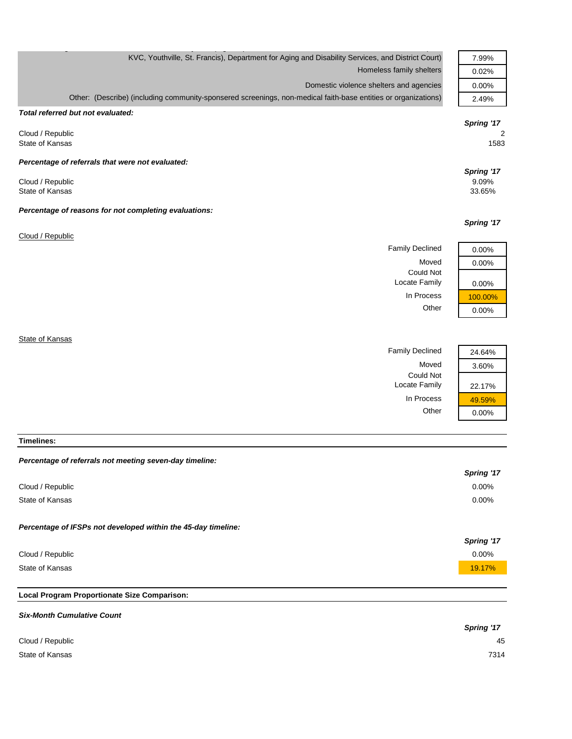| KVC, Youthville, St. Francis), Department for Aging and Disability Services, and District Court)               | 7.99%                         |
|----------------------------------------------------------------------------------------------------------------|-------------------------------|
| Homeless family shelters                                                                                       | 0.02%                         |
| Domestic violence shelters and agencies                                                                        | 0.00%                         |
| Other: (Describe) (including community-sponsered screenings, non-medical faith-base entities or organizations) | 2.49%                         |
| Total referred but not evaluated:                                                                              |                               |
|                                                                                                                | Spring '17                    |
| Cloud / Republic<br>State of Kansas                                                                            | 2<br>1583                     |
| Percentage of referrals that were not evaluated:                                                               |                               |
| Cloud / Republic<br>State of Kansas                                                                            | Spring '17<br>9.09%<br>33.65% |
| Percentage of reasons for not completing evaluations:                                                          |                               |
|                                                                                                                | Spring '17                    |
| Cloud / Republic                                                                                               |                               |
| <b>Family Declined</b>                                                                                         | 0.00%                         |
| Moved                                                                                                          | 0.00%                         |
| <b>Could Not</b><br>Locate Family                                                                              | 0.00%                         |
| In Process                                                                                                     | 100.00%                       |
| Other                                                                                                          | 0.00%                         |
|                                                                                                                |                               |
| State of Kansas                                                                                                |                               |

Family Declined 24.64%

Locate Family 22.17% In Process 29.59% Other 0.00%

Could Not

Moved 3.60%

**Timelines:**

#### *Percentage of referrals not meeting seven-day timeline:*

|                                                               | Spring '17 |
|---------------------------------------------------------------|------------|
| Cloud / Republic                                              | 0.00%      |
| State of Kansas                                               | 0.00%      |
| Percentage of IFSPs not developed within the 45-day timeline: | Spring '17 |
| Cloud / Republic                                              | 0.00%      |
| State of Kansas                                               | 19.17%     |
|                                                               |            |

## **Local Program Proportionate Size Comparison:**

| <b>Six-Month Cumulative Count</b> |            |
|-----------------------------------|------------|
|                                   | Spring '17 |
| Cloud / Republic                  | 45         |
| State of Kansas                   | 7314       |